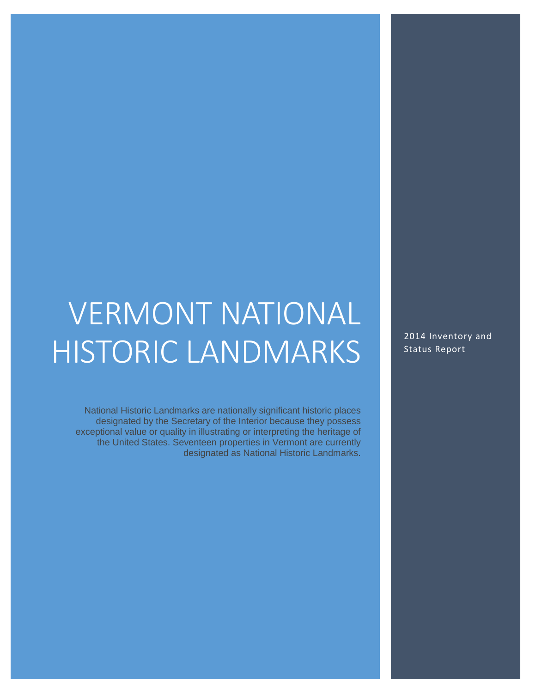# VERMONT NATIONAL HISTORIC LANDMARKS

National Historic Landmarks are nationally significant historic places designated by the Secretary of the Interior because they possess exceptional value or quality in illustrating or interpreting the heritage of the United States. Seventeen properties in Vermont are currently designated as National Historic Landmarks. 2014 Inventory and Status Report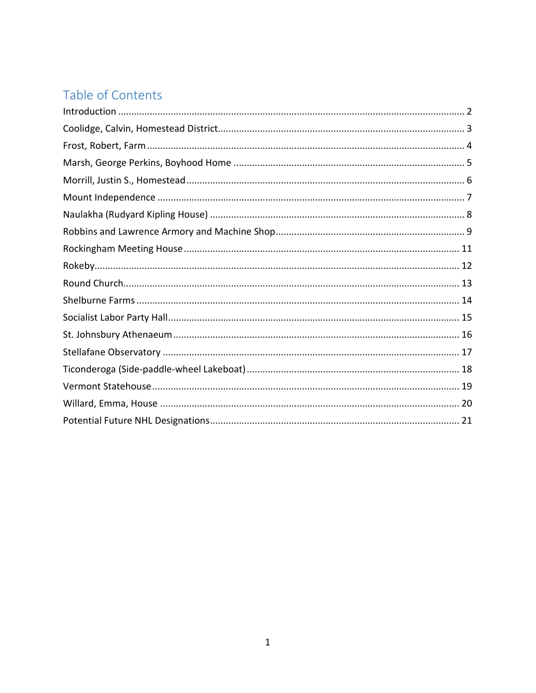# Table of Contents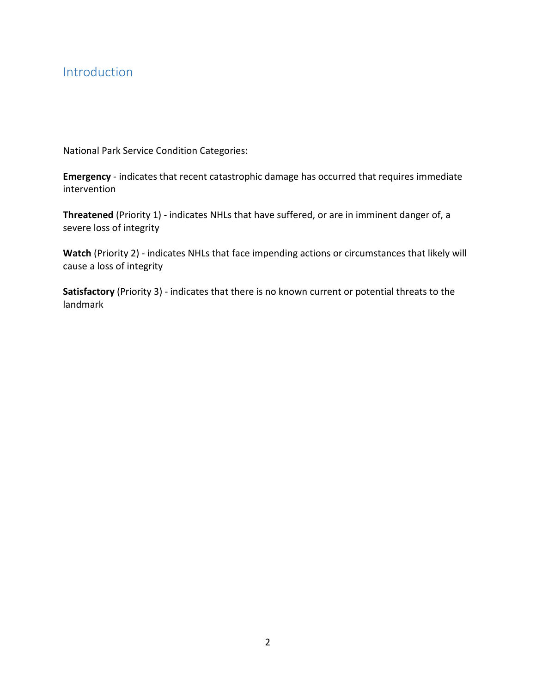# <span id="page-2-0"></span>Introduction

National Park Service Condition Categories:

**Emergency** - indicates that recent catastrophic damage has occurred that requires immediate intervention

**Threatened** (Priority 1) - indicates NHLs that have suffered, or are in imminent danger of, a severe loss of integrity

**Watch** (Priority 2) - indicates NHLs that face impending actions or circumstances that likely will cause a loss of integrity

**Satisfactory** (Priority 3) - indicates that there is no known current or potential threats to the landmark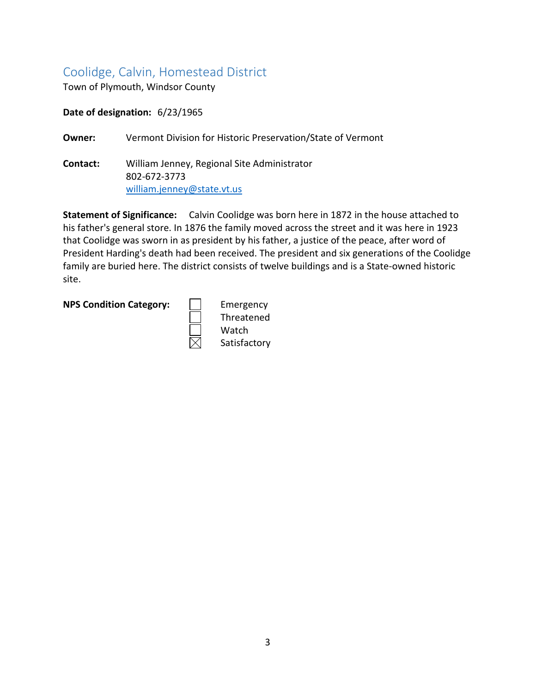# <span id="page-3-0"></span>Coolidge, Calvin, Homestead District

Town of Plymouth, Windsor County

**Date of designation:** 6/23/1965

**Owner:** Vermont Division for Historic Preservation/State of Vermont

**Contact:** William Jenney, Regional Site Administrator 802-672-3773 [william.jenney@state.vt.us](mailto:william.jenney@state.vt.us)

**Statement of Significance:** Calvin Coolidge was born here in 1872 in the house attached to his father's general store. In 1876 the family moved across the street and it was here in 1923 that Coolidge was sworn in as president by his father, a justice of the peace, after word of President Harding's death had been received. The president and six generations of the Coolidge family are buried here. The district consists of twelve buildings and is a State-owned historic site.

#### **NPS Condition Category:** | | Emergency

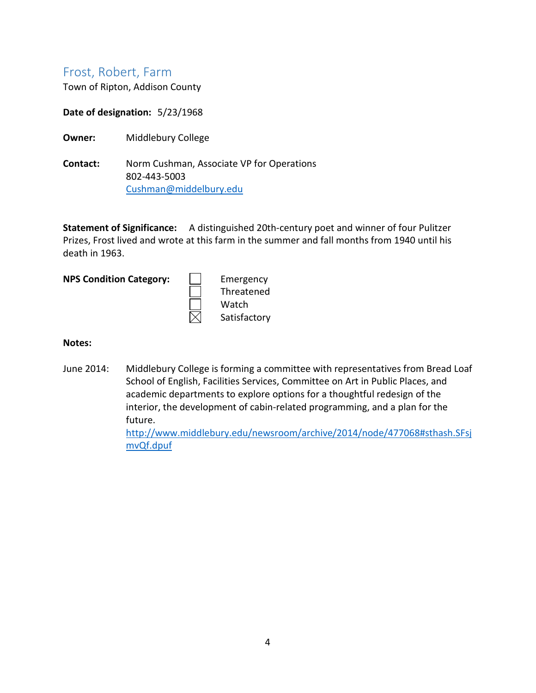# <span id="page-4-0"></span>Frost, Robert, Farm

Town of Ripton, Addison County

**Date of designation:** 5/23/1968

- **Owner:** Middlebury College
- **Contact:** Norm Cushman, Associate VP for Operations 802-443-5003 [Cushman@middelbury.edu](mailto:Cushman@middelbury.edu)

**Statement of Significance:** A distinguished 20th-century poet and winner of four Pulitzer Prizes, Frost lived and wrote at this farm in the summer and fall months from 1940 until his death in 1963.

**NPS Condition Category:** | | Emergency

Threatened Watch Satisfactory

#### **Notes:**

June 2014: Middlebury College is forming a committee with representatives from Bread Loaf School of English, Facilities Services, Committee on Art in Public Places, and academic departments to explore options for a thoughtful redesign of the interior, the development of cabin-related programming, and a plan for the future.

> [http://www.middlebury.edu/newsroom/archive/2014/node/477068#sthash.SFsj](http://www.middlebury.edu/newsroom/archive/2014/node/477068#sthash.SFsjmvQf.dpuf) [mvQf.dpuf](http://www.middlebury.edu/newsroom/archive/2014/node/477068#sthash.SFsjmvQf.dpuf)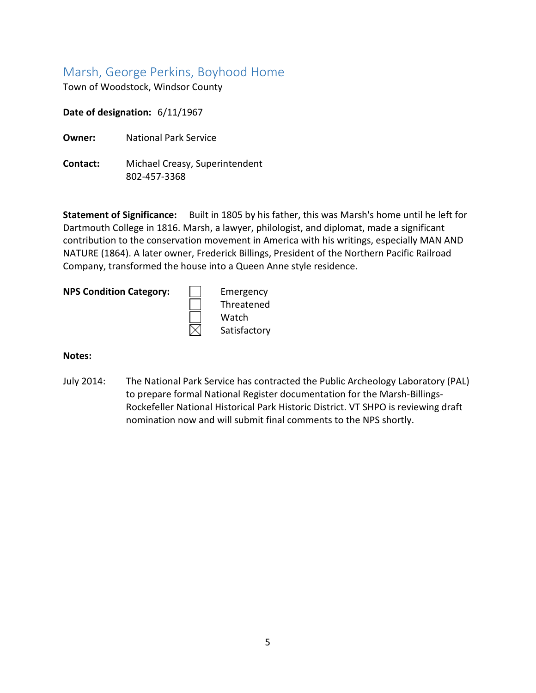# <span id="page-5-0"></span>Marsh, George Perkins, Boyhood Home

Town of Woodstock, Windsor County

**Date of designation:** 6/11/1967

**Owner:** National Park Service

**Contact:** Michael Creasy, Superintendent 802-457-3368

**Statement of Significance:** Built in 1805 by his father, this was Marsh's home until he left for Dartmouth College in 1816. Marsh, a lawyer, philologist, and diplomat, made a significant contribution to the conservation movement in America with his writings, especially MAN AND NATURE (1864). A later owner, Frederick Billings, President of the Northern Pacific Railroad Company, transformed the house into a Queen Anne style residence.

|  | <b>NPS Condition Category</b> |  |
|--|-------------------------------|--|
|--|-------------------------------|--|

**Emergency** Threatened watch Satisfactory

#### **Notes:**

July 2014: The National Park Service has contracted the Public Archeology Laboratory (PAL) to prepare formal National Register documentation for the Marsh-Billings-Rockefeller National Historical Park Historic District. VT SHPO is reviewing draft nomination now and will submit final comments to the NPS shortly.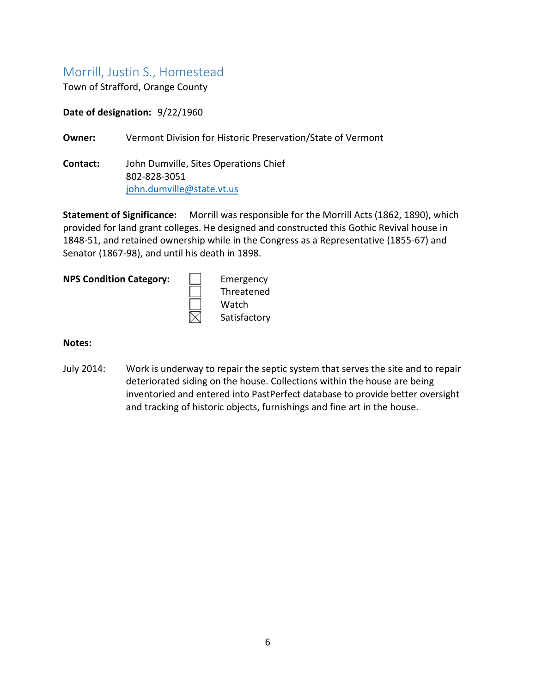# <span id="page-6-0"></span>Morrill, Justin S., Homestead

Town of Strafford, Orange County

**Date of designation:** 9/22/1960

**Owner:** Vermont Division for Historic Preservation/State of Vermont

**Contact:** John Dumville, Sites Operations Chief 802-828-3051 [john.dumville@state.vt.us](mailto:john.dumville@state.vt.us)

**Statement of Significance:** Morrill was responsible for the Morrill Acts (1862, 1890), which provided for land grant colleges. He designed and constructed this Gothic Revival house in 1848-51, and retained ownership while in the Congress as a Representative (1855-67) and Senator (1867-98), and until his death in 1898.

|  | <b>NPS Condition Category:</b> |  |
|--|--------------------------------|--|
|--|--------------------------------|--|

**Emergency** Threatened Watch Satisfactory

#### **Notes:**

July 2014: Work is underway to repair the septic system that serves the site and to repair deteriorated siding on the house. Collections within the house are being inventoried and entered into PastPerfect database to provide better oversight and tracking of historic objects, furnishings and fine art in the house.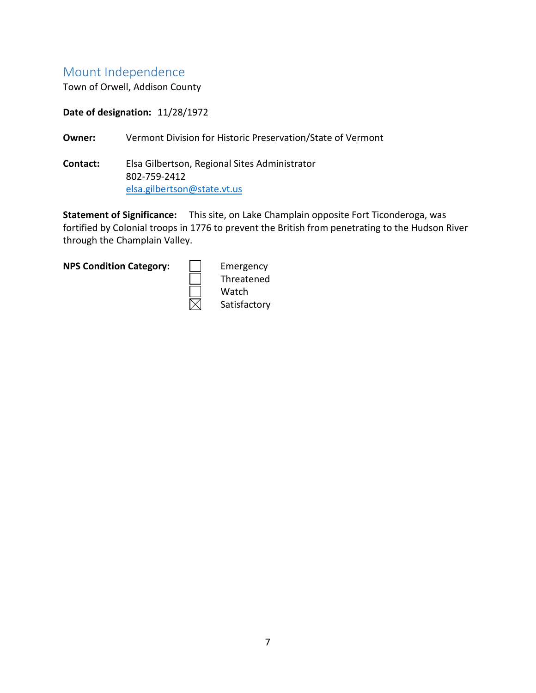# <span id="page-7-0"></span>Mount Independence

Town of Orwell, Addison County

**Date of designation:** 11/28/1972

**Owner:** Vermont Division for Historic Preservation/State of Vermont

**Contact:** Elsa Gilbertson, Regional Sites Administrator 802-759-2412 [elsa.gilbertson@state.vt.us](mailto:%20Elsa.gilbertson@state.vt.us)

**Statement of Significance:** This site, on Lake Champlain opposite Fort Ticonderoga, was fortified by Colonial troops in 1776 to prevent the British from penetrating to the Hudson River through the Champlain Valley.

**NPS Condition Category:**  $\vert \cdot \vert$  Emergency

Threatened Watch Satisfactory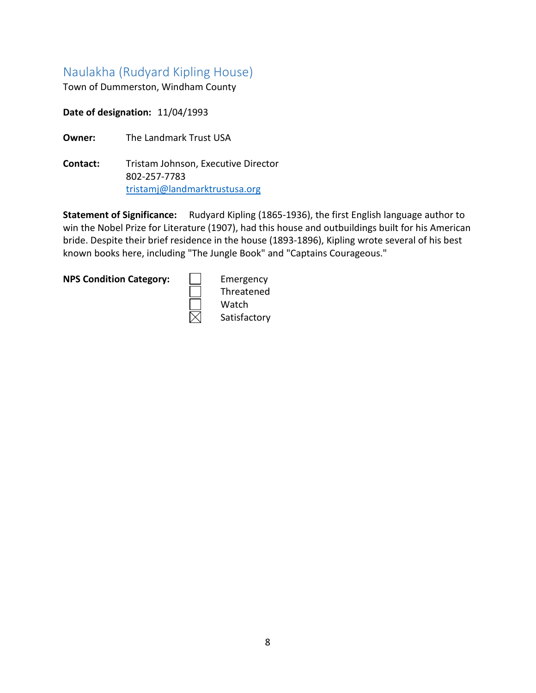# <span id="page-8-0"></span>Naulakha (Rudyard Kipling House)

Town of Dummerston, Windham County

**Date of designation:** 11/04/1993

**Owner:** The Landmark Trust USA

**Contact:** Tristam Johnson, Executive Director 802-257-7783 [tristamj@landmarktrustusa.org](mailto:tristamj@landmarktrustusa.org)

Statement of Significance: Rudyard Kipling (1865-1936), the first English language author to win the Nobel Prize for Literature (1907), had this house and outbuildings built for his American bride. Despite their brief residence in the house (1893-1896), Kipling wrote several of his best known books here, including "The Jungle Book" and "Captains Courageous."

**NPS Condition Category:** | | Emergency

Threatened Watch Satisfactory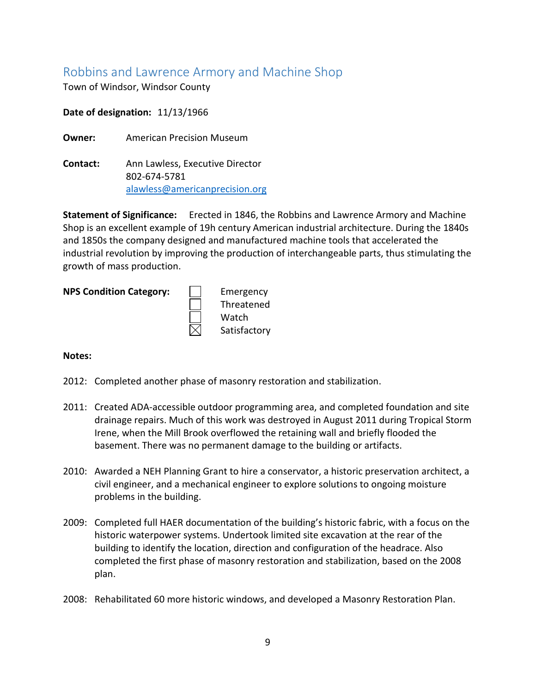# <span id="page-9-0"></span>Robbins and Lawrence Armory and Machine Shop

Town of Windsor, Windsor County

**Date of designation:** 11/13/1966

**Owner:** American Precision Museum

**Contact:** Ann Lawless, Executive Director 802-674-5781 [alawless@americanprecision.org](mailto:alawless@americanprecision.org)

**Statement of Significance:** Erected in 1846, the Robbins and Lawrence Armory and Machine Shop is an excellent example of 19h century American industrial architecture. During the 1840s and 1850s the company designed and manufactured machine tools that accelerated the industrial revolution by improving the production of interchangeable parts, thus stimulating the growth of mass production.

| <b>NPS Condition Category:</b> |  | Emergency |
|--------------------------------|--|-----------|
|--------------------------------|--|-----------|

|   | Emergency    |
|---|--------------|
| ┇ | Threatened   |
|   | Watch        |
| 1 | Satisfactory |

- 2012: Completed another phase of masonry restoration and stabilization.
- 2011: Created ADA-accessible outdoor programming area, and completed foundation and site drainage repairs. Much of this work was destroyed in August 2011 during Tropical Storm Irene, when the Mill Brook overflowed the retaining wall and briefly flooded the basement. There was no permanent damage to the building or artifacts.
- 2010: Awarded a NEH Planning Grant to hire a conservator, a historic preservation architect, a civil engineer, and a mechanical engineer to explore solutions to ongoing moisture problems in the building.
- 2009: Completed full HAER documentation of the building's historic fabric, with a focus on the historic waterpower systems. Undertook limited site excavation at the rear of the building to identify the location, direction and configuration of the headrace. Also completed the first phase of masonry restoration and stabilization, based on the 2008 plan.
- 2008: Rehabilitated 60 more historic windows, and developed a Masonry Restoration Plan.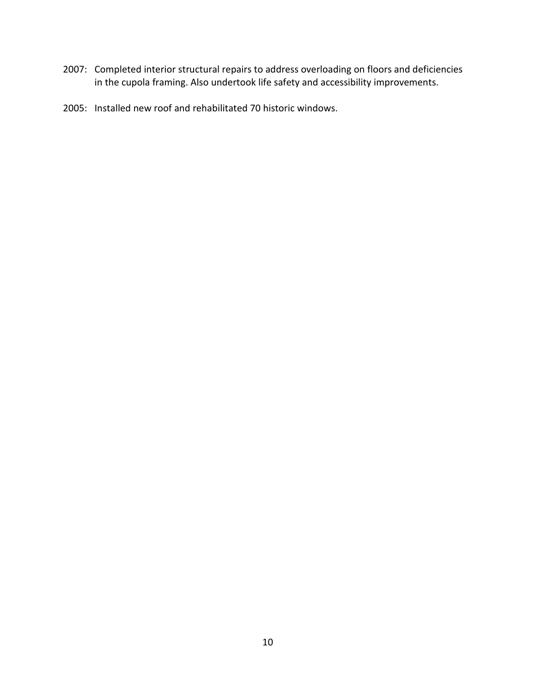- 2007: Completed interior structural repairs to address overloading on floors and deficiencies in the cupola framing. Also undertook life safety and accessibility improvements.
- 2005: Installed new roof and rehabilitated 70 historic windows.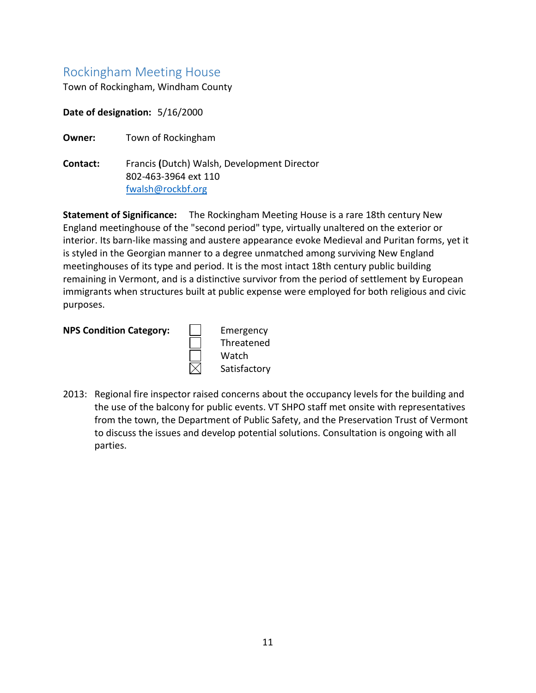# <span id="page-11-0"></span>Rockingham Meeting House

Town of Rockingham, Windham County

**Date of designation:** 5/16/2000

**Owner:** Town of Rockingham

**Contact:** Francis **(**Dutch) Walsh, Development Director 802-463-3964 ext 110 [fwalsh@rockbf.org](mailto:fwalsh@rockbf.org)

**Statement of Significance:** The Rockingham Meeting House is a rare 18th century New England meetinghouse of the "second period" type, virtually unaltered on the exterior or interior. Its barn-like massing and austere appearance evoke Medieval and Puritan forms, yet it is styled in the Georgian manner to a degree unmatched among surviving New England meetinghouses of its type and period. It is the most intact 18th century public building remaining in Vermont, and is a distinctive survivor from the period of settlement by European immigrants when structures built at public expense were employed for both religious and civic purposes.

**NPS Condition Category:** | | Emergency

Threatened Watch Satisfactory

2013: Regional fire inspector raised concerns about the occupancy levels for the building and the use of the balcony for public events. VT SHPO staff met onsite with representatives from the town, the Department of Public Safety, and the Preservation Trust of Vermont to discuss the issues and develop potential solutions. Consultation is ongoing with all parties.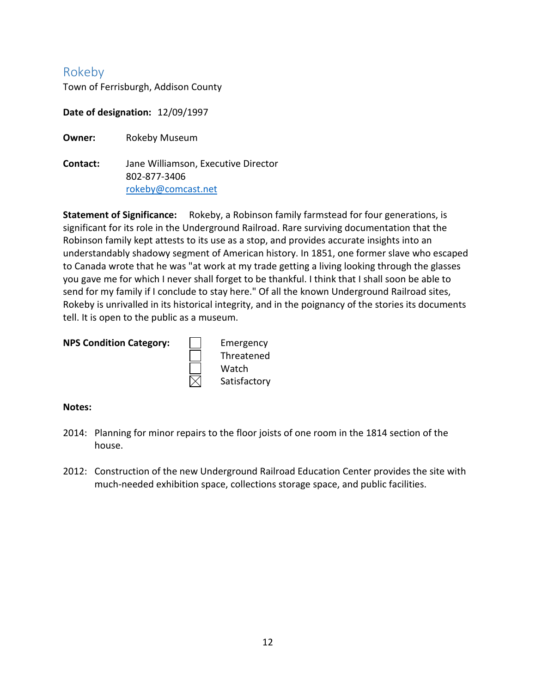# <span id="page-12-0"></span>Rokeby

Town of Ferrisburgh, Addison County

**Date of designation:** 12/09/1997

**Owner:** Rokeby Museum

**Contact:** Jane Williamson, Executive Director 802-877-3406 [rokeby@comcast.net](mailto:rokeby@comcast.net)

**Statement of Significance:** Rokeby, a Robinson family farmstead for four generations, is significant for its role in the Underground Railroad. Rare surviving documentation that the Robinson family kept attests to its use as a stop, and provides accurate insights into an understandably shadowy segment of American history. In 1851, one former slave who escaped to Canada wrote that he was "at work at my trade getting a living looking through the glasses you gave me for which I never shall forget to be thankful. I think that I shall soon be able to send for my family if I conclude to stay here." Of all the known Underground Railroad sites, Rokeby is unrivalled in its historical integrity, and in the poignancy of the stories its documents tell. It is open to the public as a museum.

#### **NPS Condition Category:**

|   | Emergency    |
|---|--------------|
| ] | Threatened   |
|   | Watch        |
| 1 | Satisfactory |

- 2014: Planning for minor repairs to the floor joists of one room in the 1814 section of the house.
- 2012: Construction of the new Underground Railroad Education Center provides the site with much-needed exhibition space, collections storage space, and public facilities.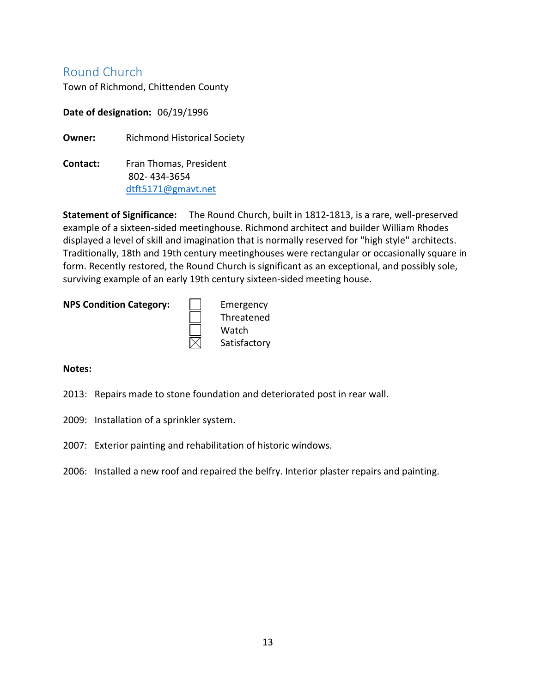# <span id="page-13-0"></span>Round Church

Town of Richmond, Chittenden County

**Date of designation:** 06/19/1996

**Owner:** Richmond Historical Society

**Contact:** Fran Thomas, President 802- 434-3654 [dtft5171@gmavt.net](mailto:dtft5171@gmavt.net)

**Statement of Significance:** The Round Church, built in 1812-1813, is a rare, well-preserved example of a sixteen-sided meetinghouse. Richmond architect and builder William Rhodes displayed a level of skill and imagination that is normally reserved for "high style" architects. Traditionally, 18th and 19th century meetinghouses were rectangular or occasionally square in form. Recently restored, the Round Church is significant as an exceptional, and possibly sole, surviving example of an early 19th century sixteen-sided meeting house.

#### **NPS Condition Category:** | | Emergency



- 2013: Repairs made to stone foundation and deteriorated post in rear wall.
- 2009: Installation of a sprinkler system.
- 2007: Exterior painting and rehabilitation of historic windows.
- 2006: Installed a new roof and repaired the belfry. Interior plaster repairs and painting.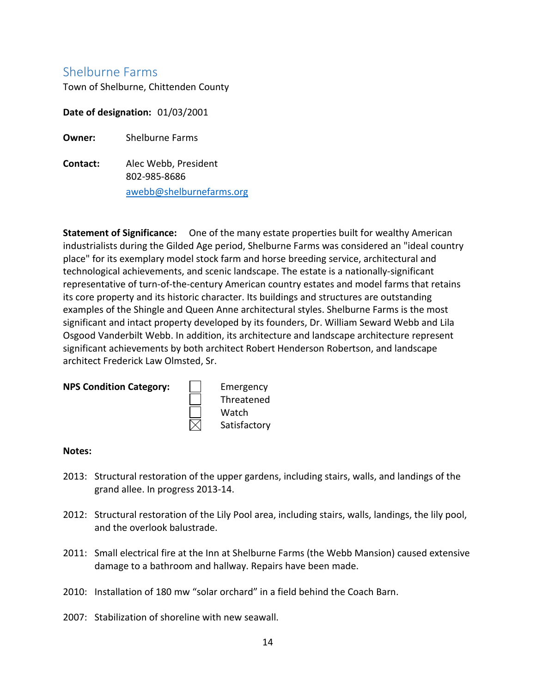# <span id="page-14-0"></span>Shelburne Farms

Town of Shelburne, Chittenden County

**Date of designation:** 01/03/2001

**Owner:** Shelburne Farms

**Contact:** Alec Webb, President 802-985-8686 [awebb@shelburnefarms.org](mailto:awebb@shelburnefarms.org)

**Statement of Significance:** One of the many estate properties built for wealthy American industrialists during the Gilded Age period, Shelburne Farms was considered an "ideal country place" for its exemplary model stock farm and horse breeding service, architectural and technological achievements, and scenic landscape. The estate is a nationally-significant representative of turn-of-the-century American country estates and model farms that retains its core property and its historic character. Its buildings and structures are outstanding examples of the Shingle and Queen Anne architectural styles. Shelburne Farms is the most significant and intact property developed by its founders, Dr. William Seward Webb and Lila Osgood Vanderbilt Webb. In addition, its architecture and landscape architecture represent significant achievements by both architect Robert Henderson Robertson, and landscape architect Frederick Law Olmsted, Sr.

#### **NPS Condition Category:**  $\vert \cdot \vert$  Emergency



- 2013: Structural restoration of the upper gardens, including stairs, walls, and landings of the grand allee. In progress 2013-14.
- 2012: Structural restoration of the Lily Pool area, including stairs, walls, landings, the lily pool, and the overlook balustrade.
- 2011: Small electrical fire at the Inn at Shelburne Farms (the Webb Mansion) caused extensive damage to a bathroom and hallway. Repairs have been made.
- 2010: Installation of 180 mw "solar orchard" in a field behind the Coach Barn.
- 2007: Stabilization of shoreline with new seawall.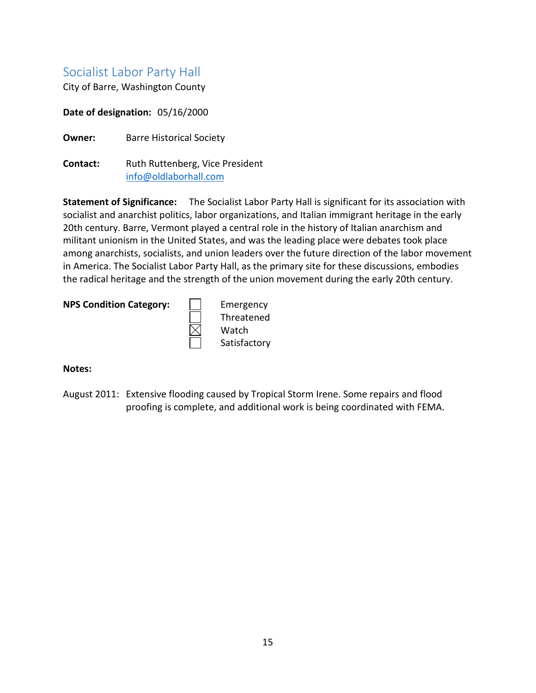# <span id="page-15-0"></span>Socialist Labor Party Hall

City of Barre, Washington County

**Date of designation:** 05/16/2000

**Owner:** Barre Historical Society

**Contact:** Ruth Ruttenberg, Vice President [info@oldlaborhall.com](mailto:info@oldlaborhall.com)

**Statement of Significance:** The Socialist Labor Party Hall is significant for its association with socialist and anarchist politics, labor organizations, and Italian immigrant heritage in the early 20th century. Barre, Vermont played a central role in the history of Italian anarchism and militant unionism in the United States, and was the leading place were debates took place among anarchists, socialists, and union leaders over the future direction of the labor movement in America. The Socialist Labor Party Hall, as the primary site for these discussions, embodies the radical heritage and the strength of the union movement during the early 20th century.

#### **NPS Condition Category:** | | Emergency



#### **Notes:**

August 2011: Extensive flooding caused by Tropical Storm Irene. Some repairs and flood proofing is complete, and additional work is being coordinated with FEMA.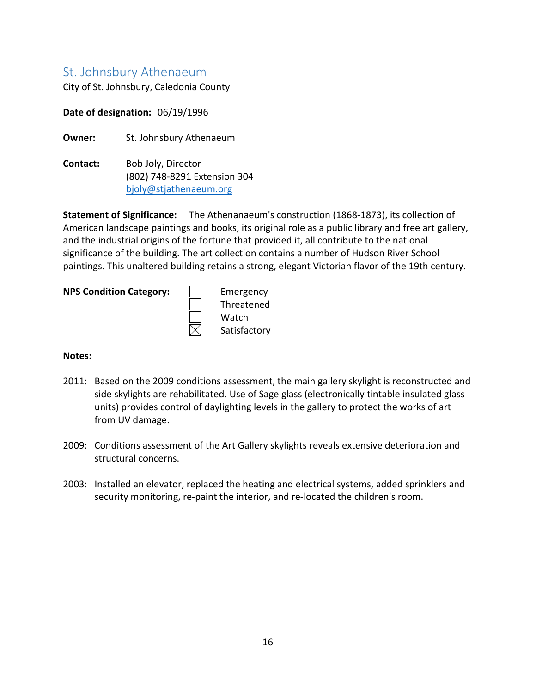## <span id="page-16-0"></span>St. Johnsbury Athenaeum

City of St. Johnsbury, Caledonia County

**Date of designation:** 06/19/1996

**Owner:** St. Johnsbury Athenaeum

**Contact:** [Bob Joly,](mailto:bjoly@stjathenaeum.org) Director (802) 748-8291 Extension 304 [bjoly@stjathenaeum.org](mailto:bjoly@stjathenaeum.org)

**Statement of Significance:** The Athenanaeum's construction (1868-1873), its collection of American landscape paintings and books, its original role as a public library and free art gallery, and the industrial origins of the fortune that provided it, all contribute to the national significance of the building. The art collection contains a number of Hudson River School paintings. This unaltered building retains a strong, elegant Victorian flavor of the 19th century.

# **NPS Condition Category:**<br> **EMPREM**<br>
<br>
<br>
<br>
<br>
<br>
<br>
<br>
<br>
<br>
<br>
<br>
<br>
<br>
<br>
<br>

|   | Emergency    |
|---|--------------|
| ] | Threatened   |
| ] | Watch        |
| 1 | Satisfactory |

- 2011: Based on the 2009 conditions assessment, the main gallery skylight is reconstructed and side skylights are rehabilitated. Use of Sage glass (electronically tintable insulated glass units) provides control of daylighting levels in the gallery to protect the works of art from UV damage.
- 2009: Conditions assessment of the Art Gallery skylights reveals extensive deterioration and structural concerns.
- 2003: Installed an elevator, replaced the heating and electrical systems, added sprinklers and security monitoring, re-paint the interior, and re-located the children's room.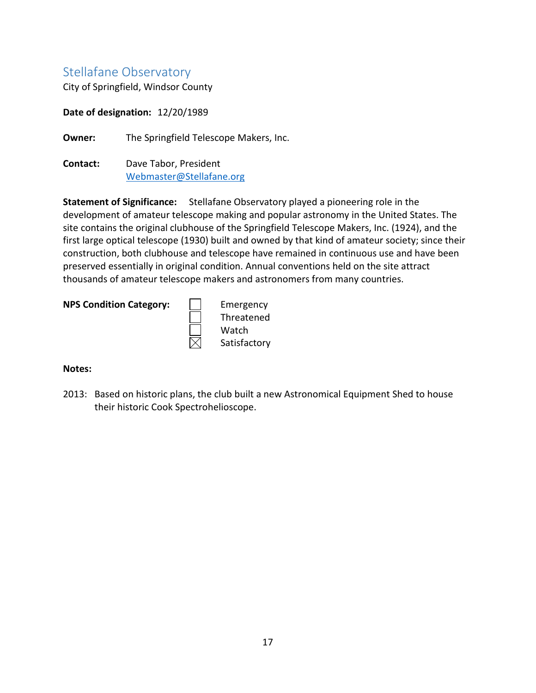# <span id="page-17-0"></span>Stellafane Observatory

City of Springfield, Windsor County

**Date of designation:** 12/20/1989

**Owner:** The Springfield Telescope Makers, Inc.

**Contact:** Dave Tabor, President [Webmaster@Stellafane.org](mailto:Webmaster@Stellafane.org)

**Statement of Significance:** Stellafane Observatory played a pioneering role in the development of amateur telescope making and popular astronomy in the United States. The site contains the original clubhouse of the Springfield Telescope Makers, Inc. (1924), and the first large optical telescope (1930) built and owned by that kind of amateur society; since their construction, both clubhouse and telescope have remained in continuous use and have been preserved essentially in original condition. Annual conventions held on the site attract thousands of amateur telescope makers and astronomers from many countries.

#### **NPS Condition Category:** | | Emergency



#### **Notes:**

2013: Based on historic plans, the club built a new Astronomical Equipment Shed to house their historic Cook Spectrohelioscope.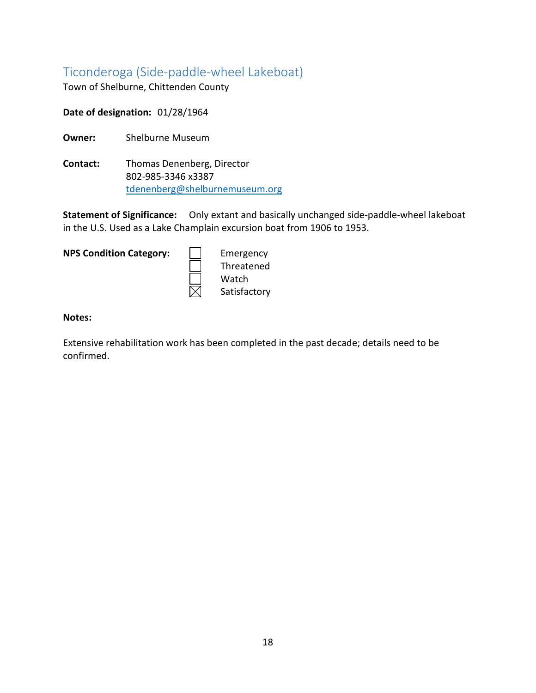# <span id="page-18-0"></span>Ticonderoga (Side-paddle-wheel Lakeboat)

Town of Shelburne, Chittenden County

**Date of designation:** 01/28/1964

**Owner:** Shelburne Museum

**Contact:** Thomas Denenberg, Director 802-985-3346 x3387 [tdenenberg@shelburnemuseum.org](mailto:tdenenberg@shelburnemuseum.org)

**Statement of Significance:** Only extant and basically unchanged side-paddle-wheel lakeboat in the U.S. Used as a Lake Champlain excursion boat from 1906 to 1953.

**NPS Condition Category: Emergency** 

Threatened Watch Satisfactory

**Notes:**

Extensive rehabilitation work has been completed in the past decade; details need to be confirmed.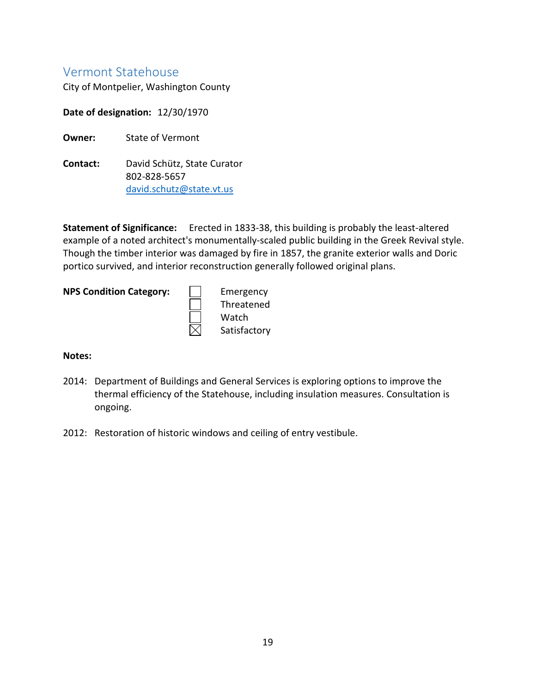### <span id="page-19-0"></span>Vermont Statehouse

City of Montpelier, Washington County

**Date of designation:** 12/30/1970

**Owner:** State of Vermont

**Contact:** David Schütz, State Curator 802-828-5657 [david.schutz@state.vt.us](mailto:david.schutz@state.vt.us)

**Statement of Significance:** Erected in 1833-38, this building is probably the least-altered example of a noted architect's monumentally-scaled public building in the Greek Revival style. Though the timber interior was damaged by fire in 1857, the granite exterior walls and Doric portico survived, and interior reconstruction generally followed original plans.

**NPS Condition Category:** | | Emergency

Threatened Watch Satisfactory

- 2014: Department of Buildings and General Services is exploring options to improve the thermal efficiency of the Statehouse, including insulation measures. Consultation is ongoing.
- 2012: Restoration of historic windows and ceiling of entry vestibule.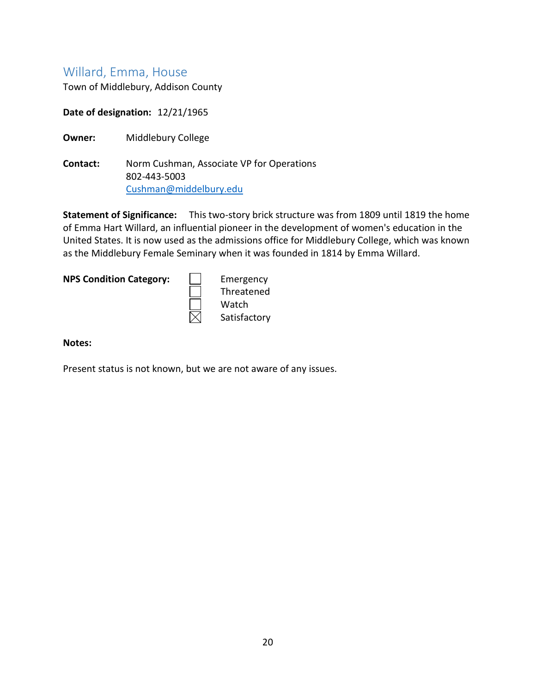# <span id="page-20-0"></span>Willard, Emma, House

Town of Middlebury, Addison County

**Date of designation:** 12/21/1965

**Owner:** Middlebury College

**Contact:** Norm Cushman, Associate VP for Operations 802-443-5003 [Cushman@middelbury.edu](mailto:Cushman@middelbury.edu)

**Statement of Significance:** This two-story brick structure was from 1809 until 1819 the home of Emma Hart Willard, an influential pioneer in the development of women's education in the United States. It is now used as the admissions office for Middlebury College, which was known as the Middlebury Female Seminary when it was founded in 1814 by Emma Willard.

**NPS Condition Category:** | | Emergency

Threatened Watch Satisfactory

#### **Notes:**

Present status is not known, but we are not aware of any issues.